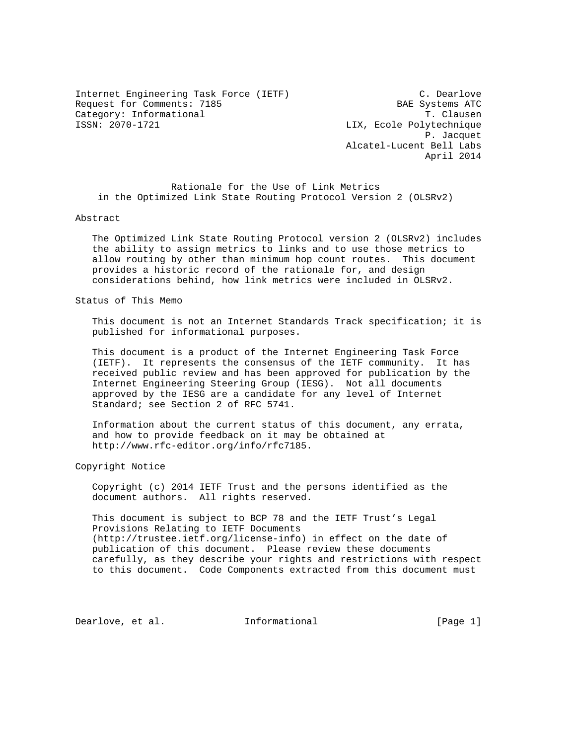Internet Engineering Task Force (IETF) C. Dearlove Request for Comments: 7185 BAE Systems ATC Category: Informational  $\overline{1}$ . Clausen<br>ISSN: 2070-1721 LIX, Ecole Polytechnique

LIX, Ecole Polytechnique P. Jacquet Alcatel-Lucent Bell Labs April 2014

 Rationale for the Use of Link Metrics in the Optimized Link State Routing Protocol Version 2 (OLSRv2)

#### Abstract

 The Optimized Link State Routing Protocol version 2 (OLSRv2) includes the ability to assign metrics to links and to use those metrics to allow routing by other than minimum hop count routes. This document provides a historic record of the rationale for, and design considerations behind, how link metrics were included in OLSRv2.

Status of This Memo

 This document is not an Internet Standards Track specification; it is published for informational purposes.

 This document is a product of the Internet Engineering Task Force (IETF). It represents the consensus of the IETF community. It has received public review and has been approved for publication by the Internet Engineering Steering Group (IESG). Not all documents approved by the IESG are a candidate for any level of Internet Standard; see Section 2 of RFC 5741.

 Information about the current status of this document, any errata, and how to provide feedback on it may be obtained at http://www.rfc-editor.org/info/rfc7185.

Copyright Notice

 Copyright (c) 2014 IETF Trust and the persons identified as the document authors. All rights reserved.

 This document is subject to BCP 78 and the IETF Trust's Legal Provisions Relating to IETF Documents (http://trustee.ietf.org/license-info) in effect on the date of publication of this document. Please review these documents carefully, as they describe your rights and restrictions with respect to this document. Code Components extracted from this document must

Dearlove, et al. 1nformational [Page 1]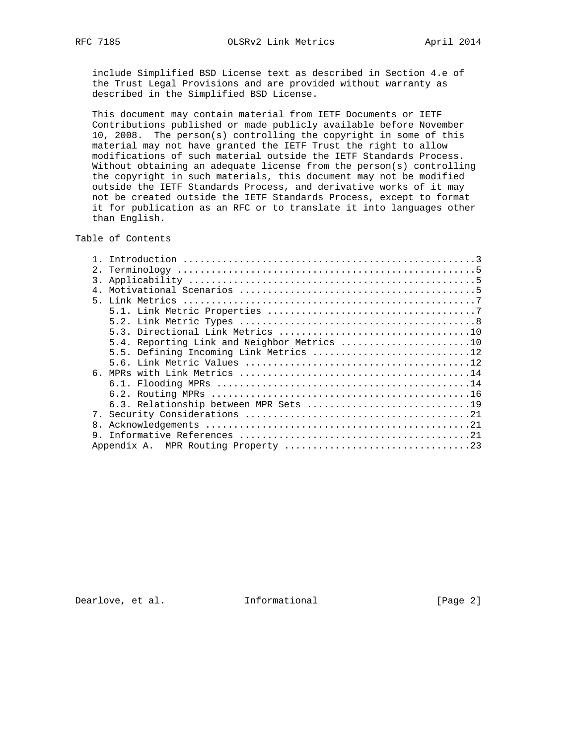include Simplified BSD License text as described in Section 4.e of the Trust Legal Provisions and are provided without warranty as described in the Simplified BSD License.

 This document may contain material from IETF Documents or IETF Contributions published or made publicly available before November 10, 2008. The person(s) controlling the copyright in some of this material may not have granted the IETF Trust the right to allow modifications of such material outside the IETF Standards Process. Without obtaining an adequate license from the person(s) controlling the copyright in such materials, this document may not be modified outside the IETF Standards Process, and derivative works of it may not be created outside the IETF Standards Process, except to format it for publication as an RFC or to translate it into languages other than English.

# Table of Contents

| 2.1            |                                             |
|----------------|---------------------------------------------|
| 3.             |                                             |
| 4 <sub>1</sub> |                                             |
|                |                                             |
|                |                                             |
|                |                                             |
|                |                                             |
|                | 5.4. Reporting Link and Neighbor Metrics 10 |
|                | 5.5. Defining Incoming Link Metrics 12      |
|                |                                             |
|                |                                             |
|                |                                             |
|                |                                             |
|                |                                             |
|                |                                             |
| 8.             |                                             |
|                |                                             |
|                |                                             |
|                |                                             |

Dearlove, et al. 1nformational 1999 [Page 2]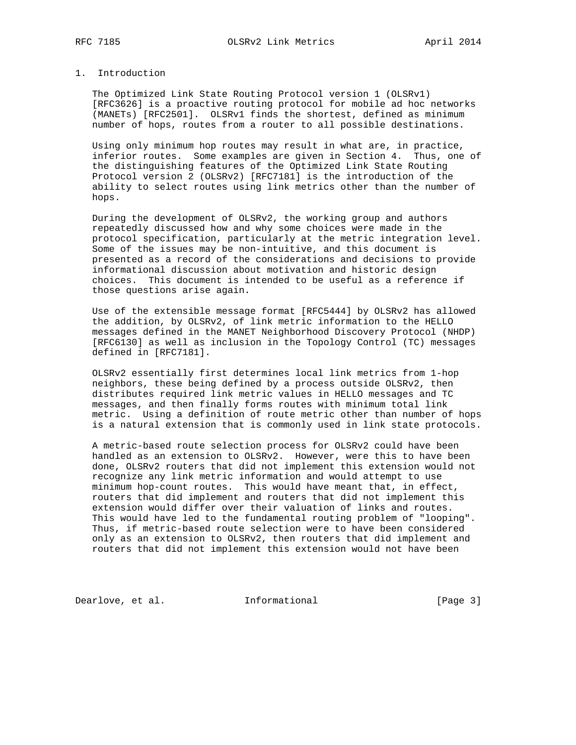## 1. Introduction

 The Optimized Link State Routing Protocol version 1 (OLSRv1) [RFC3626] is a proactive routing protocol for mobile ad hoc networks (MANETs) [RFC2501]. OLSRv1 finds the shortest, defined as minimum number of hops, routes from a router to all possible destinations.

 Using only minimum hop routes may result in what are, in practice, inferior routes. Some examples are given in Section 4. Thus, one of the distinguishing features of the Optimized Link State Routing Protocol version 2 (OLSRv2) [RFC7181] is the introduction of the ability to select routes using link metrics other than the number of hops.

 During the development of OLSRv2, the working group and authors repeatedly discussed how and why some choices were made in the protocol specification, particularly at the metric integration level. Some of the issues may be non-intuitive, and this document is presented as a record of the considerations and decisions to provide informational discussion about motivation and historic design choices. This document is intended to be useful as a reference if those questions arise again.

 Use of the extensible message format [RFC5444] by OLSRv2 has allowed the addition, by OLSRv2, of link metric information to the HELLO messages defined in the MANET Neighborhood Discovery Protocol (NHDP) [RFC6130] as well as inclusion in the Topology Control (TC) messages defined in [RFC7181].

 OLSRv2 essentially first determines local link metrics from 1-hop neighbors, these being defined by a process outside OLSRv2, then distributes required link metric values in HELLO messages and TC messages, and then finally forms routes with minimum total link metric. Using a definition of route metric other than number of hops is a natural extension that is commonly used in link state protocols.

 A metric-based route selection process for OLSRv2 could have been handled as an extension to OLSRv2. However, were this to have been done, OLSRv2 routers that did not implement this extension would not recognize any link metric information and would attempt to use minimum hop-count routes. This would have meant that, in effect, routers that did implement and routers that did not implement this extension would differ over their valuation of links and routes. This would have led to the fundamental routing problem of "looping". Thus, if metric-based route selection were to have been considered only as an extension to OLSRv2, then routers that did implement and routers that did not implement this extension would not have been

Dearlove, et al. 1nformational 1999 [Page 3]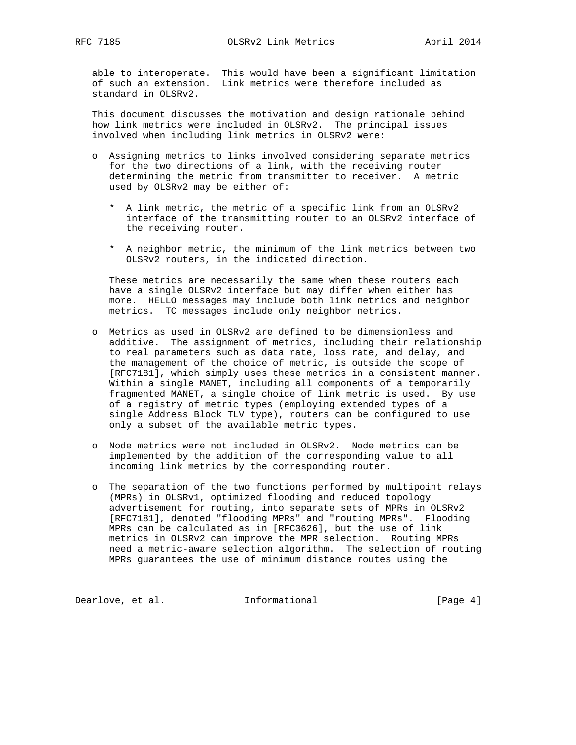able to interoperate. This would have been a significant limitation of such an extension. Link metrics were therefore included as standard in OLSRv2.

 This document discusses the motivation and design rationale behind how link metrics were included in OLSRv2. The principal issues involved when including link metrics in OLSRv2 were:

- o Assigning metrics to links involved considering separate metrics for the two directions of a link, with the receiving router determining the metric from transmitter to receiver. A metric used by OLSRv2 may be either of:
	- \* A link metric, the metric of a specific link from an OLSRv2 interface of the transmitting router to an OLSRv2 interface of the receiving router.
	- \* A neighbor metric, the minimum of the link metrics between two OLSRv2 routers, in the indicated direction.

 These metrics are necessarily the same when these routers each have a single OLSRv2 interface but may differ when either has more. HELLO messages may include both link metrics and neighbor metrics. TC messages include only neighbor metrics.

- o Metrics as used in OLSRv2 are defined to be dimensionless and additive. The assignment of metrics, including their relationship to real parameters such as data rate, loss rate, and delay, and the management of the choice of metric, is outside the scope of [RFC7181], which simply uses these metrics in a consistent manner. Within a single MANET, including all components of a temporarily fragmented MANET, a single choice of link metric is used. By use of a registry of metric types (employing extended types of a single Address Block TLV type), routers can be configured to use only a subset of the available metric types.
- o Node metrics were not included in OLSRv2. Node metrics can be implemented by the addition of the corresponding value to all incoming link metrics by the corresponding router.
- o The separation of the two functions performed by multipoint relays (MPRs) in OLSRv1, optimized flooding and reduced topology advertisement for routing, into separate sets of MPRs in OLSRv2 [RFC7181], denoted "flooding MPRs" and "routing MPRs". Flooding MPRs can be calculated as in [RFC3626], but the use of link metrics in OLSRv2 can improve the MPR selection. Routing MPRs need a metric-aware selection algorithm. The selection of routing MPRs guarantees the use of minimum distance routes using the

Dearlove, et al. 1nformational 1999 [Page 4]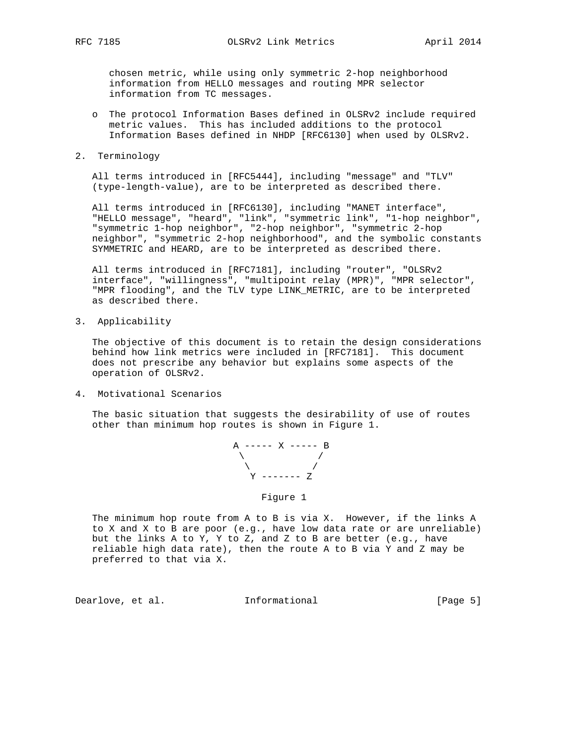chosen metric, while using only symmetric 2-hop neighborhood information from HELLO messages and routing MPR selector information from TC messages.

- o The protocol Information Bases defined in OLSRv2 include required metric values. This has included additions to the protocol Information Bases defined in NHDP [RFC6130] when used by OLSRv2.
- 2. Terminology

 All terms introduced in [RFC5444], including "message" and "TLV" (type-length-value), are to be interpreted as described there.

 All terms introduced in [RFC6130], including "MANET interface", "HELLO message", "heard", "link", "symmetric link", "1-hop neighbor", "symmetric 1-hop neighbor", "2-hop neighbor", "symmetric 2-hop neighbor", "symmetric 2-hop neighborhood", and the symbolic constants SYMMETRIC and HEARD, are to be interpreted as described there.

 All terms introduced in [RFC7181], including "router", "OLSRv2 interface", "willingness", "multipoint relay (MPR)", "MPR selector", "MPR flooding", and the TLV type LINK\_METRIC, are to be interpreted as described there.

3. Applicability

 The objective of this document is to retain the design considerations behind how link metrics were included in [RFC7181]. This document does not prescribe any behavior but explains some aspects of the operation of OLSRv2.

4. Motivational Scenarios

 The basic situation that suggests the desirability of use of routes other than minimum hop routes is shown in Figure 1.

$$
\begin{array}{cccc}\nA & \text{---} & X & \text{---} & B \\
& \nearrow & & \nearrow & \\
& \searrow & & \nearrow & \\
& Y & \text{---} & Z \\
& \text{Figure 1}\n\end{array}
$$

 The minimum hop route from A to B is via X. However, if the links A to X and X to B are poor (e.g., have low data rate or are unreliable) but the links A to Y, Y to Z, and Z to B are better (e.g., have reliable high data rate), then the route A to B via Y and Z may be preferred to that via X.

Dearlove, et al. 1nformational 1999 [Page 5]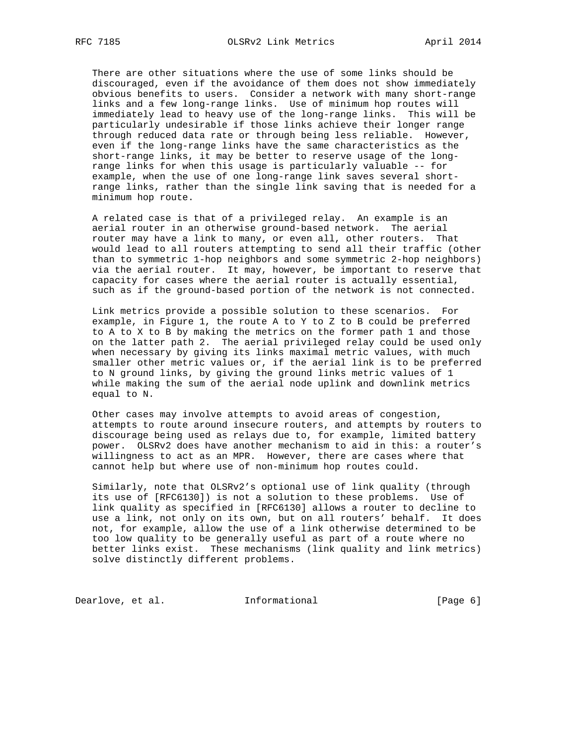There are other situations where the use of some links should be discouraged, even if the avoidance of them does not show immediately obvious benefits to users. Consider a network with many short-range links and a few long-range links. Use of minimum hop routes will immediately lead to heavy use of the long-range links. This will be particularly undesirable if those links achieve their longer range through reduced data rate or through being less reliable. However, even if the long-range links have the same characteristics as the short-range links, it may be better to reserve usage of the long range links for when this usage is particularly valuable -- for example, when the use of one long-range link saves several short range links, rather than the single link saving that is needed for a minimum hop route.

 A related case is that of a privileged relay. An example is an aerial router in an otherwise ground-based network. The aerial router may have a link to many, or even all, other routers. That would lead to all routers attempting to send all their traffic (other than to symmetric 1-hop neighbors and some symmetric 2-hop neighbors) via the aerial router. It may, however, be important to reserve that capacity for cases where the aerial router is actually essential, such as if the ground-based portion of the network is not connected.

 Link metrics provide a possible solution to these scenarios. For example, in Figure 1, the route A to Y to Z to B could be preferred to A to X to B by making the metrics on the former path 1 and those on the latter path 2. The aerial privileged relay could be used only when necessary by giving its links maximal metric values, with much smaller other metric values or, if the aerial link is to be preferred to N ground links, by giving the ground links metric values of 1 while making the sum of the aerial node uplink and downlink metrics equal to N.

 Other cases may involve attempts to avoid areas of congestion, attempts to route around insecure routers, and attempts by routers to discourage being used as relays due to, for example, limited battery power. OLSRv2 does have another mechanism to aid in this: a router's willingness to act as an MPR. However, there are cases where that cannot help but where use of non-minimum hop routes could.

 Similarly, note that OLSRv2's optional use of link quality (through its use of [RFC6130]) is not a solution to these problems. Use of link quality as specified in [RFC6130] allows a router to decline to use a link, not only on its own, but on all routers' behalf. It does not, for example, allow the use of a link otherwise determined to be too low quality to be generally useful as part of a route where no better links exist. These mechanisms (link quality and link metrics) solve distinctly different problems.

Dearlove, et al. 1nformational 1999 [Page 6]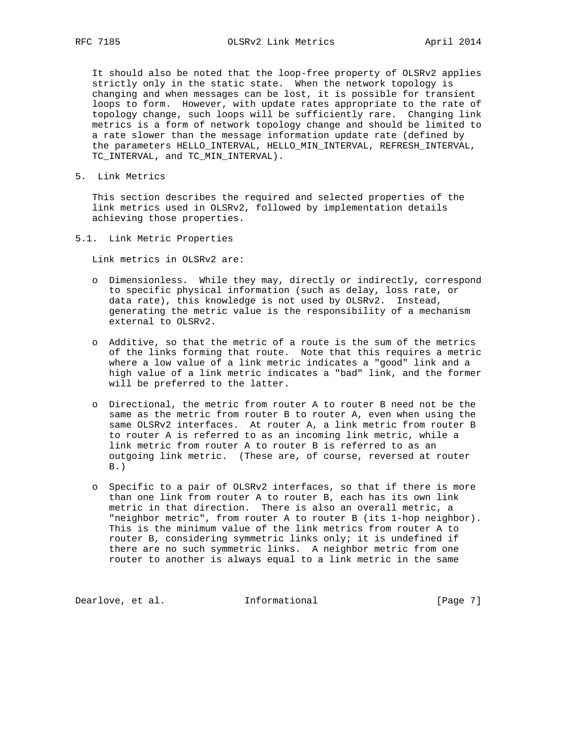It should also be noted that the loop-free property of OLSRv2 applies strictly only in the static state. When the network topology is changing and when messages can be lost, it is possible for transient loops to form. However, with update rates appropriate to the rate of topology change, such loops will be sufficiently rare. Changing link metrics is a form of network topology change and should be limited to a rate slower than the message information update rate (defined by the parameters HELLO\_INTERVAL, HELLO\_MIN\_INTERVAL, REFRESH\_INTERVAL, TC\_INTERVAL, and TC\_MIN\_INTERVAL).

5. Link Metrics

 This section describes the required and selected properties of the link metrics used in OLSRv2, followed by implementation details achieving those properties.

5.1. Link Metric Properties

Link metrics in OLSRv2 are:

- o Dimensionless. While they may, directly or indirectly, correspond to specific physical information (such as delay, loss rate, or data rate), this knowledge is not used by OLSRv2. Instead, generating the metric value is the responsibility of a mechanism external to OLSRv2.
- o Additive, so that the metric of a route is the sum of the metrics of the links forming that route. Note that this requires a metric where a low value of a link metric indicates a "good" link and a high value of a link metric indicates a "bad" link, and the former will be preferred to the latter.
- o Directional, the metric from router A to router B need not be the same as the metric from router B to router A, even when using the same OLSRv2 interfaces. At router A, a link metric from router B to router A is referred to as an incoming link metric, while a link metric from router A to router B is referred to as an outgoing link metric. (These are, of course, reversed at router  $B.$ )
- o Specific to a pair of OLSRv2 interfaces, so that if there is more than one link from router A to router B, each has its own link metric in that direction. There is also an overall metric, a "neighbor metric", from router A to router B (its 1-hop neighbor). This is the minimum value of the link metrics from router A to router B, considering symmetric links only; it is undefined if there are no such symmetric links. A neighbor metric from one router to another is always equal to a link metric in the same

Dearlove, et al. 1nformational 1999 [Page 7]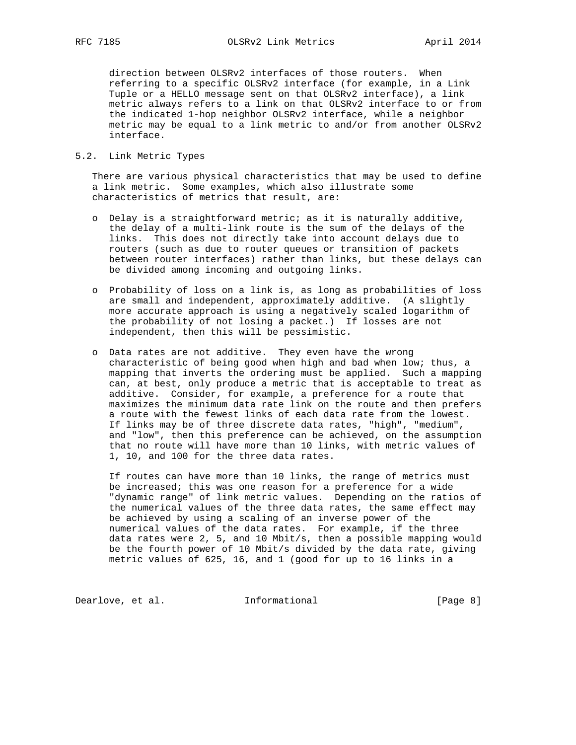direction between OLSRv2 interfaces of those routers. When referring to a specific OLSRv2 interface (for example, in a Link Tuple or a HELLO message sent on that OLSRv2 interface), a link metric always refers to a link on that OLSRv2 interface to or from the indicated 1-hop neighbor OLSRv2 interface, while a neighbor metric may be equal to a link metric to and/or from another OLSRv2 interface.

# 5.2. Link Metric Types

 There are various physical characteristics that may be used to define a link metric. Some examples, which also illustrate some characteristics of metrics that result, are:

- o Delay is a straightforward metric; as it is naturally additive, the delay of a multi-link route is the sum of the delays of the links. This does not directly take into account delays due to routers (such as due to router queues or transition of packets between router interfaces) rather than links, but these delays can be divided among incoming and outgoing links.
- o Probability of loss on a link is, as long as probabilities of loss are small and independent, approximately additive. (A slightly more accurate approach is using a negatively scaled logarithm of the probability of not losing a packet.) If losses are not independent, then this will be pessimistic.
- o Data rates are not additive. They even have the wrong characteristic of being good when high and bad when low; thus, a mapping that inverts the ordering must be applied. Such a mapping can, at best, only produce a metric that is acceptable to treat as additive. Consider, for example, a preference for a route that maximizes the minimum data rate link on the route and then prefers a route with the fewest links of each data rate from the lowest. If links may be of three discrete data rates, "high", "medium", and "low", then this preference can be achieved, on the assumption that no route will have more than 10 links, with metric values of 1, 10, and 100 for the three data rates.

 If routes can have more than 10 links, the range of metrics must be increased; this was one reason for a preference for a wide "dynamic range" of link metric values. Depending on the ratios of the numerical values of the three data rates, the same effect may be achieved by using a scaling of an inverse power of the numerical values of the data rates. For example, if the three data rates were 2, 5, and 10 Mbit/s, then a possible mapping would be the fourth power of 10 Mbit/s divided by the data rate, giving metric values of 625, 16, and 1 (good for up to 16 links in a

Dearlove, et al. 1nformational 1999 [Page 8]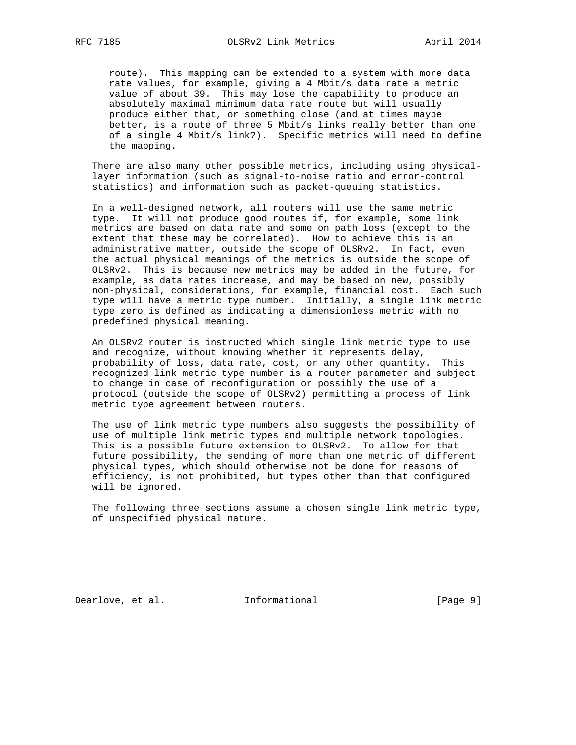route). This mapping can be extended to a system with more data rate values, for example, giving a 4 Mbit/s data rate a metric value of about 39. This may lose the capability to produce an absolutely maximal minimum data rate route but will usually produce either that, or something close (and at times maybe better, is a route of three 5 Mbit/s links really better than one of a single 4 Mbit/s link?). Specific metrics will need to define the mapping.

 There are also many other possible metrics, including using physical layer information (such as signal-to-noise ratio and error-control statistics) and information such as packet-queuing statistics.

 In a well-designed network, all routers will use the same metric type. It will not produce good routes if, for example, some link metrics are based on data rate and some on path loss (except to the extent that these may be correlated). How to achieve this is an administrative matter, outside the scope of OLSRv2. In fact, even the actual physical meanings of the metrics is outside the scope of OLSRv2. This is because new metrics may be added in the future, for example, as data rates increase, and may be based on new, possibly non-physical, considerations, for example, financial cost. Each such type will have a metric type number. Initially, a single link metric type zero is defined as indicating a dimensionless metric with no predefined physical meaning.

 An OLSRv2 router is instructed which single link metric type to use and recognize, without knowing whether it represents delay, probability of loss, data rate, cost, or any other quantity. This recognized link metric type number is a router parameter and subject to change in case of reconfiguration or possibly the use of a protocol (outside the scope of OLSRv2) permitting a process of link metric type agreement between routers.

 The use of link metric type numbers also suggests the possibility of use of multiple link metric types and multiple network topologies. This is a possible future extension to OLSRv2. To allow for that future possibility, the sending of more than one metric of different physical types, which should otherwise not be done for reasons of efficiency, is not prohibited, but types other than that configured will be ignored.

 The following three sections assume a chosen single link metric type, of unspecified physical nature.

Dearlove, et al. 1nformational 1999 [Page 9]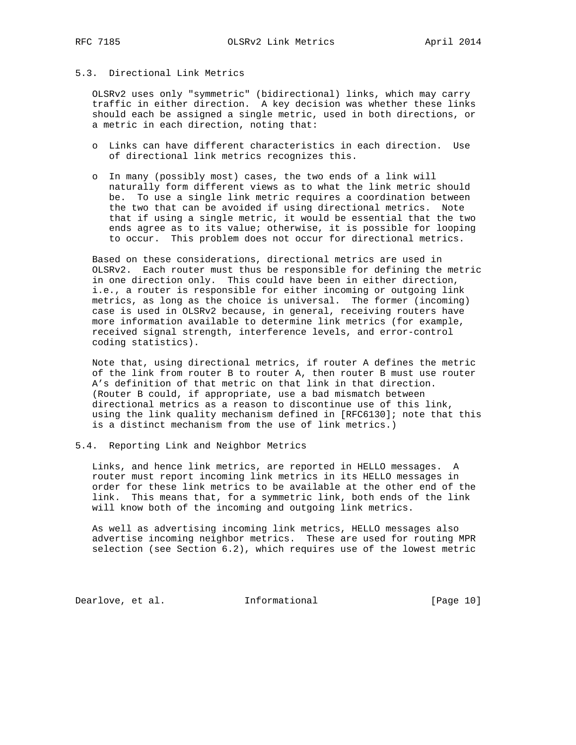# 5.3. Directional Link Metrics

 OLSRv2 uses only "symmetric" (bidirectional) links, which may carry traffic in either direction. A key decision was whether these links should each be assigned a single metric, used in both directions, or a metric in each direction, noting that:

- o Links can have different characteristics in each direction. Use of directional link metrics recognizes this.
- o In many (possibly most) cases, the two ends of a link will naturally form different views as to what the link metric should be. To use a single link metric requires a coordination between the two that can be avoided if using directional metrics. Note that if using a single metric, it would be essential that the two ends agree as to its value; otherwise, it is possible for looping to occur. This problem does not occur for directional metrics.

 Based on these considerations, directional metrics are used in OLSRv2. Each router must thus be responsible for defining the metric in one direction only. This could have been in either direction, i.e., a router is responsible for either incoming or outgoing link metrics, as long as the choice is universal. The former (incoming) case is used in OLSRv2 because, in general, receiving routers have more information available to determine link metrics (for example, received signal strength, interference levels, and error-control coding statistics).

 Note that, using directional metrics, if router A defines the metric of the link from router B to router A, then router B must use router A's definition of that metric on that link in that direction. (Router B could, if appropriate, use a bad mismatch between directional metrics as a reason to discontinue use of this link, using the link quality mechanism defined in [RFC6130]; note that this is a distinct mechanism from the use of link metrics.)

### 5.4. Reporting Link and Neighbor Metrics

 Links, and hence link metrics, are reported in HELLO messages. A router must report incoming link metrics in its HELLO messages in order for these link metrics to be available at the other end of the link. This means that, for a symmetric link, both ends of the link will know both of the incoming and outgoing link metrics.

 As well as advertising incoming link metrics, HELLO messages also advertise incoming neighbor metrics. These are used for routing MPR selection (see Section 6.2), which requires use of the lowest metric

Dearlove, et al. 1nformational [Page 10]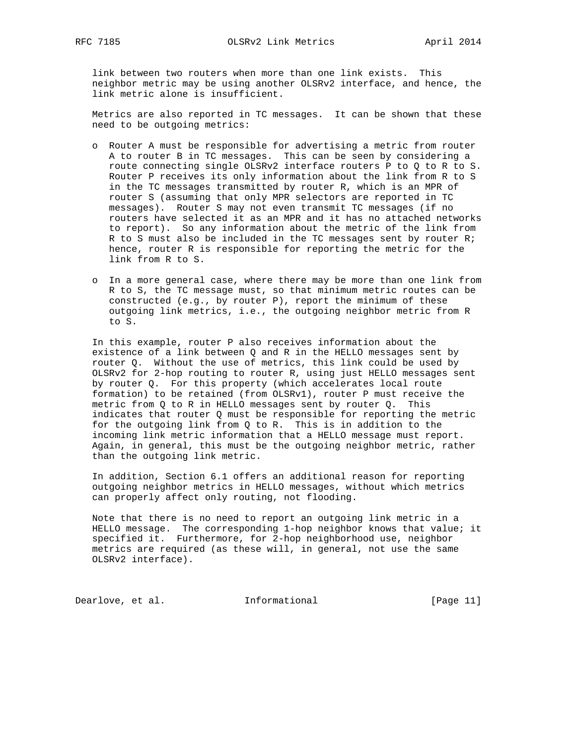link between two routers when more than one link exists. This neighbor metric may be using another OLSRv2 interface, and hence, the link metric alone is insufficient.

 Metrics are also reported in TC messages. It can be shown that these need to be outgoing metrics:

- o Router A must be responsible for advertising a metric from router A to router B in TC messages. This can be seen by considering a route connecting single OLSRv2 interface routers P to Q to R to S. Router P receives its only information about the link from R to S in the TC messages transmitted by router R, which is an MPR of router S (assuming that only MPR selectors are reported in TC messages). Router S may not even transmit TC messages (if no routers have selected it as an MPR and it has no attached networks to report). So any information about the metric of the link from R to S must also be included in the TC messages sent by router R; hence, router R is responsible for reporting the metric for the link from R to S.
- o In a more general case, where there may be more than one link from R to S, the TC message must, so that minimum metric routes can be constructed (e.g., by router P), report the minimum of these outgoing link metrics, i.e., the outgoing neighbor metric from R to S.

 In this example, router P also receives information about the existence of a link between Q and R in the HELLO messages sent by router Q. Without the use of metrics, this link could be used by OLSRv2 for 2-hop routing to router R, using just HELLO messages sent by router Q. For this property (which accelerates local route formation) to be retained (from OLSRv1), router P must receive the metric from Q to R in HELLO messages sent by router Q. This indicates that router Q must be responsible for reporting the metric for the outgoing link from Q to R. This is in addition to the incoming link metric information that a HELLO message must report. Again, in general, this must be the outgoing neighbor metric, rather than the outgoing link metric.

 In addition, Section 6.1 offers an additional reason for reporting outgoing neighbor metrics in HELLO messages, without which metrics can properly affect only routing, not flooding.

 Note that there is no need to report an outgoing link metric in a HELLO message. The corresponding 1-hop neighbor knows that value; it specified it. Furthermore, for 2-hop neighborhood use, neighbor metrics are required (as these will, in general, not use the same OLSRv2 interface).

Dearlove, et al. 1nformational [Page 11]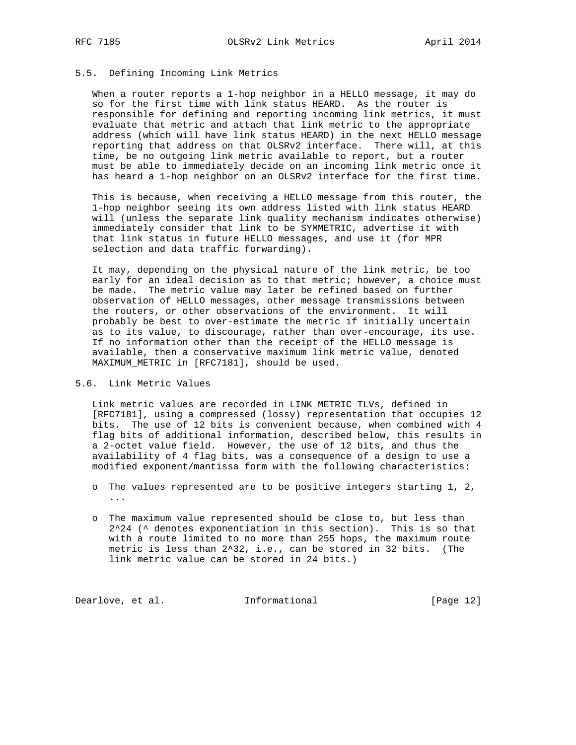### 5.5. Defining Incoming Link Metrics

 When a router reports a 1-hop neighbor in a HELLO message, it may do so for the first time with link status HEARD. As the router is responsible for defining and reporting incoming link metrics, it must evaluate that metric and attach that link metric to the appropriate address (which will have link status HEARD) in the next HELLO message reporting that address on that OLSRv2 interface. There will, at this time, be no outgoing link metric available to report, but a router must be able to immediately decide on an incoming link metric once it has heard a 1-hop neighbor on an OLSRv2 interface for the first time.

 This is because, when receiving a HELLO message from this router, the 1-hop neighbor seeing its own address listed with link status HEARD will (unless the separate link quality mechanism indicates otherwise) immediately consider that link to be SYMMETRIC, advertise it with that link status in future HELLO messages, and use it (for MPR selection and data traffic forwarding).

 It may, depending on the physical nature of the link metric, be too early for an ideal decision as to that metric; however, a choice must be made. The metric value may later be refined based on further observation of HELLO messages, other message transmissions between the routers, or other observations of the environment. It will probably be best to over-estimate the metric if initially uncertain as to its value, to discourage, rather than over-encourage, its use. If no information other than the receipt of the HELLO message is available, then a conservative maximum link metric value, denoted MAXIMUM\_METRIC in [RFC7181], should be used.

# 5.6. Link Metric Values

 Link metric values are recorded in LINK\_METRIC TLVs, defined in [RFC7181], using a compressed (lossy) representation that occupies 12 bits. The use of 12 bits is convenient because, when combined with 4 flag bits of additional information, described below, this results in a 2-octet value field. However, the use of 12 bits, and thus the availability of 4 flag bits, was a consequence of a design to use a modified exponent/mantissa form with the following characteristics:

- o The values represented are to be positive integers starting 1, 2, ...
- o The maximum value represented should be close to, but less than  $2^2$ 24 ( $\textdegree$  denotes exponentiation in this section). This is so that with a route limited to no more than 255 hops, the maximum route metric is less than 2^32, i.e., can be stored in 32 bits. (The link metric value can be stored in 24 bits.)

Dearlove, et al. 1nformational [Page 12]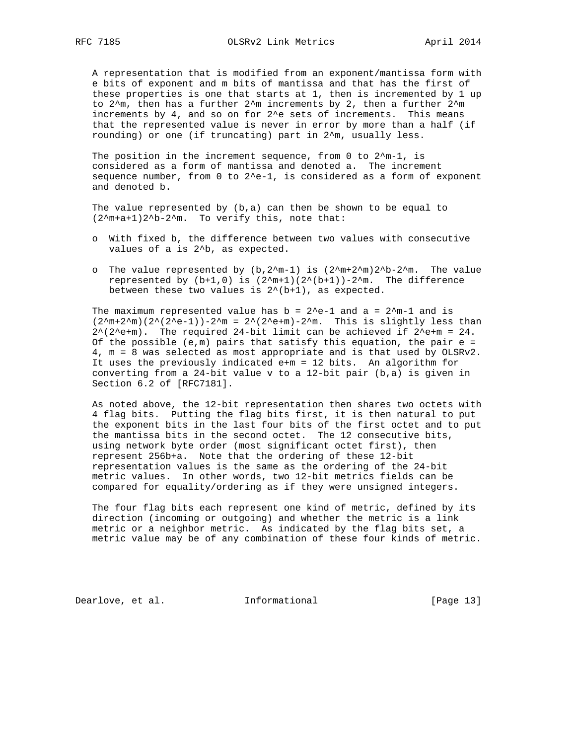A representation that is modified from an exponent/mantissa form with e bits of exponent and m bits of mantissa and that has the first of these properties is one that starts at 1, then is incremented by 1 up to 2^m, then has a further 2^m increments by 2, then a further 2^m increments by 4, and so on for 2^e sets of increments. This means that the represented value is never in error by more than a half (if rounding) or one (if truncating) part in 2^m, usually less.

The position in the increment sequence, from 0 to  $2^m-1$ , is considered as a form of mantissa and denoted a. The increment sequence number, from  $0$  to  $2^e-1$ , is considered as a form of exponent and denoted b.

The value represented by  $(b,a)$  can then be shown to be equal to (2^m+a+1)2^b-2^m. To verify this, note that:

- o With fixed b, the difference between two values with consecutive values of a is 2^b, as expected.
- o The value represented by  $(b, 2^m-1)$  is  $(2^m+2^m)2^b-2^m$ . The value represented by  $(b+1,0)$  is  $(2m+1)(2(b+1))-2m$ . The difference between these two values is 2^(b+1), as expected.

The maximum represented value has  $b = 2^e-1$  and a =  $2^m-1$  and is  $(2^{m+2^m})(2^{(2^e-1)})-2^{m} = 2^{(2^e+m)}-2^{m}$ . This is slightly less than  $2^*(2^{\text{th}})$ . The required 24-bit limit can be achieved if  $2^{\text{th}}$  = 24. Of the possible  $(e,m)$  pairs that satisfy this equation, the pair  $e =$  4, m = 8 was selected as most appropriate and is that used by OLSRv2. It uses the previously indicated e+m = 12 bits. An algorithm for converting from a 24-bit value v to a 12-bit pair (b,a) is given in Section 6.2 of [RFC7181].

 As noted above, the 12-bit representation then shares two octets with 4 flag bits. Putting the flag bits first, it is then natural to put the exponent bits in the last four bits of the first octet and to put the mantissa bits in the second octet. The 12 consecutive bits, using network byte order (most significant octet first), then represent 256b+a. Note that the ordering of these 12-bit representation values is the same as the ordering of the 24-bit metric values. In other words, two 12-bit metrics fields can be compared for equality/ordering as if they were unsigned integers.

 The four flag bits each represent one kind of metric, defined by its direction (incoming or outgoing) and whether the metric is a link metric or a neighbor metric. As indicated by the flag bits set, a metric value may be of any combination of these four kinds of metric.

Dearlove, et al. 1nformational [Page 13]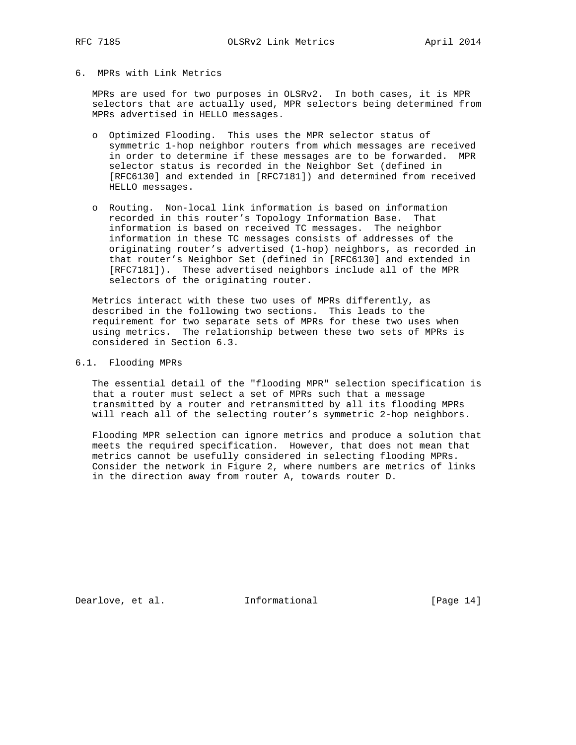## 6. MPRs with Link Metrics

 MPRs are used for two purposes in OLSRv2. In both cases, it is MPR selectors that are actually used, MPR selectors being determined from MPRs advertised in HELLO messages.

- o Optimized Flooding. This uses the MPR selector status of symmetric 1-hop neighbor routers from which messages are received in order to determine if these messages are to be forwarded. MPR selector status is recorded in the Neighbor Set (defined in [RFC6130] and extended in [RFC7181]) and determined from received HELLO messages.
- o Routing. Non-local link information is based on information recorded in this router's Topology Information Base. That information is based on received TC messages. The neighbor information in these TC messages consists of addresses of the originating router's advertised (1-hop) neighbors, as recorded in that router's Neighbor Set (defined in [RFC6130] and extended in [RFC7181]). These advertised neighbors include all of the MPR selectors of the originating router.

 Metrics interact with these two uses of MPRs differently, as described in the following two sections. This leads to the requirement for two separate sets of MPRs for these two uses when using metrics. The relationship between these two sets of MPRs is considered in Section 6.3.

### 6.1. Flooding MPRs

 The essential detail of the "flooding MPR" selection specification is that a router must select a set of MPRs such that a message transmitted by a router and retransmitted by all its flooding MPRs will reach all of the selecting router's symmetric 2-hop neighbors.

 Flooding MPR selection can ignore metrics and produce a solution that meets the required specification. However, that does not mean that metrics cannot be usefully considered in selecting flooding MPRs. Consider the network in Figure 2, where numbers are metrics of links in the direction away from router A, towards router D.

Dearlove, et al. 1nformational [Page 14]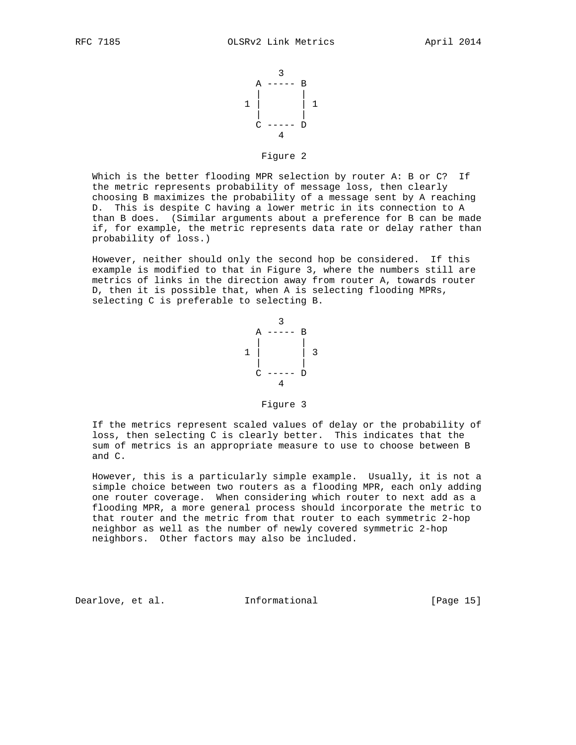

Figure 2

 Which is the better flooding MPR selection by router A: B or C? If the metric represents probability of message loss, then clearly choosing B maximizes the probability of a message sent by A reaching D. This is despite C having a lower metric in its connection to A than B does. (Similar arguments about a preference for B can be made if, for example, the metric represents data rate or delay rather than probability of loss.)

 However, neither should only the second hop be considered. If this example is modified to that in Figure 3, where the numbers still are metrics of links in the direction away from router A, towards router D, then it is possible that, when A is selecting flooding MPRs, selecting C is preferable to selecting B.



Figure 3

 If the metrics represent scaled values of delay or the probability of loss, then selecting C is clearly better. This indicates that the sum of metrics is an appropriate measure to use to choose between B and C.

 However, this is a particularly simple example. Usually, it is not a simple choice between two routers as a flooding MPR, each only adding one router coverage. When considering which router to next add as a flooding MPR, a more general process should incorporate the metric to that router and the metric from that router to each symmetric 2-hop neighbor as well as the number of newly covered symmetric 2-hop neighbors. Other factors may also be included.

Dearlove, et al. Informational [Page 15]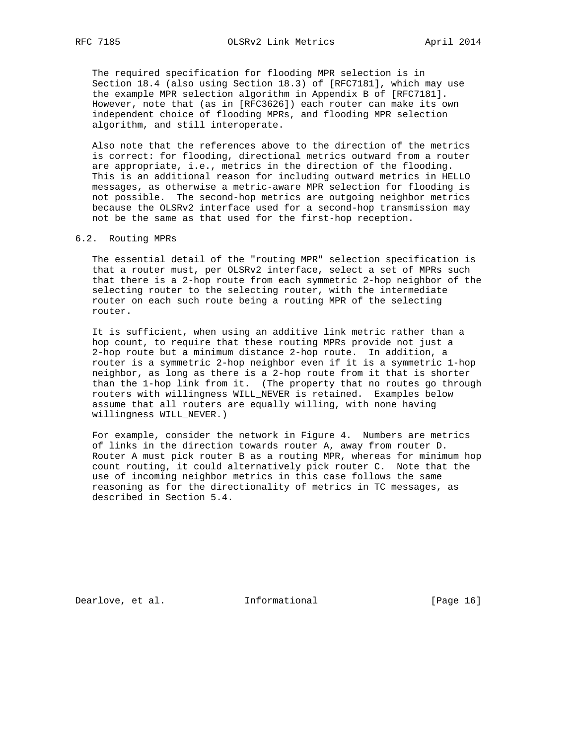The required specification for flooding MPR selection is in Section 18.4 (also using Section 18.3) of [RFC7181], which may use the example MPR selection algorithm in Appendix B of [RFC7181]. However, note that (as in [RFC3626]) each router can make its own independent choice of flooding MPRs, and flooding MPR selection algorithm, and still interoperate.

 Also note that the references above to the direction of the metrics is correct: for flooding, directional metrics outward from a router are appropriate, i.e., metrics in the direction of the flooding. This is an additional reason for including outward metrics in HELLO messages, as otherwise a metric-aware MPR selection for flooding is not possible. The second-hop metrics are outgoing neighbor metrics because the OLSRv2 interface used for a second-hop transmission may not be the same as that used for the first-hop reception.

#### 6.2. Routing MPRs

 The essential detail of the "routing MPR" selection specification is that a router must, per OLSRv2 interface, select a set of MPRs such that there is a 2-hop route from each symmetric 2-hop neighbor of the selecting router to the selecting router, with the intermediate router on each such route being a routing MPR of the selecting router.

 It is sufficient, when using an additive link metric rather than a hop count, to require that these routing MPRs provide not just a 2-hop route but a minimum distance 2-hop route. In addition, a router is a symmetric 2-hop neighbor even if it is a symmetric 1-hop neighbor, as long as there is a 2-hop route from it that is shorter than the 1-hop link from it. (The property that no routes go through routers with willingness WILL\_NEVER is retained. Examples below assume that all routers are equally willing, with none having willingness WILL\_NEVER.)

 For example, consider the network in Figure 4. Numbers are metrics of links in the direction towards router A, away from router D. Router A must pick router B as a routing MPR, whereas for minimum hop count routing, it could alternatively pick router C. Note that the use of incoming neighbor metrics in this case follows the same reasoning as for the directionality of metrics in TC messages, as described in Section 5.4.

Dearlove, et al. 1nformational [Page 16]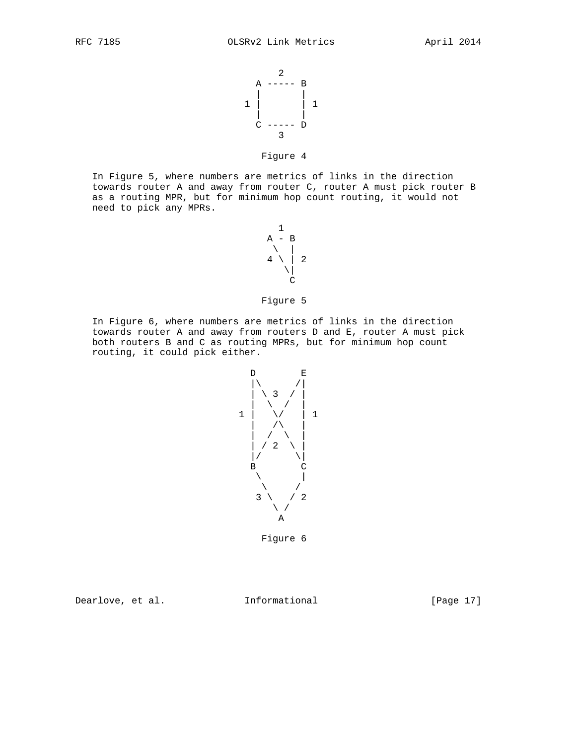

# Figure 4

 In Figure 5, where numbers are metrics of links in the direction towards router A and away from router C, router A must pick router B as a routing MPR, but for minimum hop count routing, it would not need to pick any MPRs.

 $1$  $A - B$  \ |  $4 \setminus 2$  $\|$ **C** 

# Figure 5

 In Figure 6, where numbers are metrics of links in the direction towards router A and away from routers D and E, router A must pick both routers B and C as routing MPRs, but for minimum hop count routing, it could pick either.



Figure 6

Dearlove, et al. Informational [Page 17]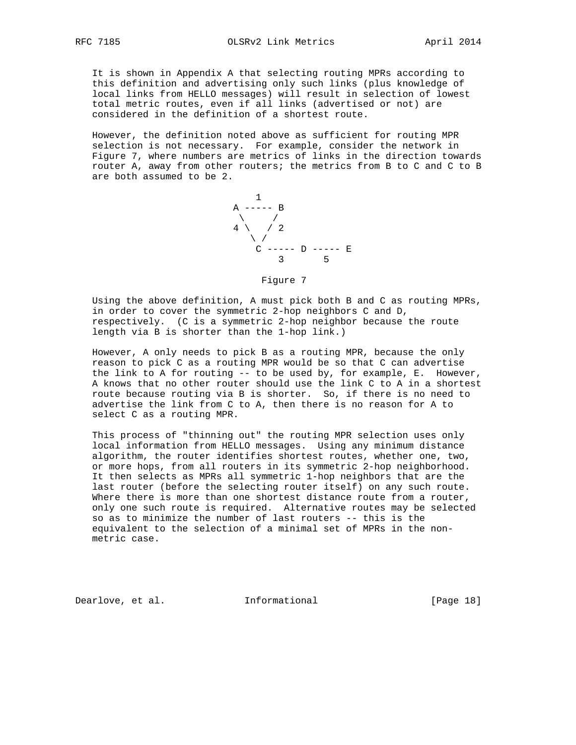It is shown in Appendix A that selecting routing MPRs according to this definition and advertising only such links (plus knowledge of local links from HELLO messages) will result in selection of lowest total metric routes, even if all links (advertised or not) are considered in the definition of a shortest route.

 However, the definition noted above as sufficient for routing MPR selection is not necessary. For example, consider the network in Figure 7, where numbers are metrics of links in the direction towards router A, away from other routers; the metrics from B to C and C to B are both assumed to be 2.



Figure 7

 Using the above definition, A must pick both B and C as routing MPRs, in order to cover the symmetric 2-hop neighbors C and D, respectively. (C is a symmetric 2-hop neighbor because the route length via B is shorter than the 1-hop link.)

 However, A only needs to pick B as a routing MPR, because the only reason to pick C as a routing MPR would be so that C can advertise the link to A for routing -- to be used by, for example, E. However, A knows that no other router should use the link C to A in a shortest route because routing via B is shorter. So, if there is no need to advertise the link from C to A, then there is no reason for A to select C as a routing MPR.

 This process of "thinning out" the routing MPR selection uses only local information from HELLO messages. Using any minimum distance algorithm, the router identifies shortest routes, whether one, two, or more hops, from all routers in its symmetric 2-hop neighborhood. It then selects as MPRs all symmetric 1-hop neighbors that are the last router (before the selecting router itself) on any such route. Where there is more than one shortest distance route from a router, only one such route is required. Alternative routes may be selected so as to minimize the number of last routers -- this is the equivalent to the selection of a minimal set of MPRs in the non metric case.

Dearlove, et al. 1nformational [Page 18]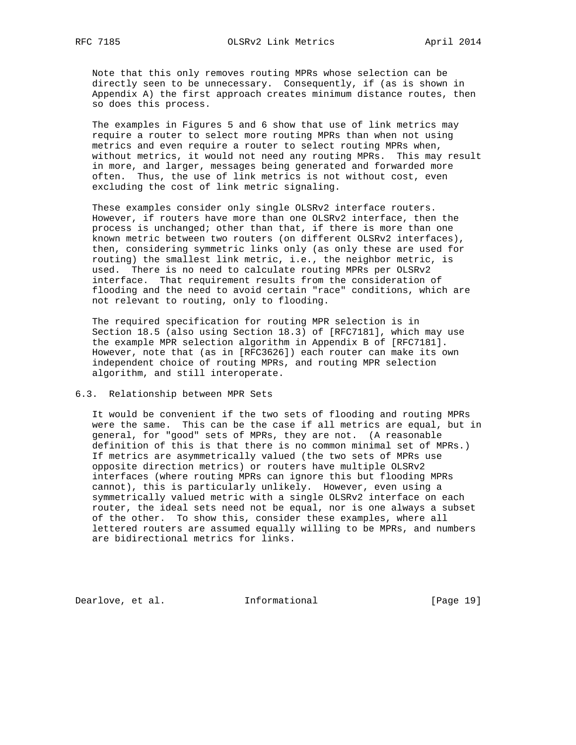Note that this only removes routing MPRs whose selection can be directly seen to be unnecessary. Consequently, if (as is shown in Appendix A) the first approach creates minimum distance routes, then so does this process.

 The examples in Figures 5 and 6 show that use of link metrics may require a router to select more routing MPRs than when not using metrics and even require a router to select routing MPRs when, without metrics, it would not need any routing MPRs. This may result in more, and larger, messages being generated and forwarded more often. Thus, the use of link metrics is not without cost, even excluding the cost of link metric signaling.

 These examples consider only single OLSRv2 interface routers. However, if routers have more than one OLSRv2 interface, then the process is unchanged; other than that, if there is more than one known metric between two routers (on different OLSRv2 interfaces), then, considering symmetric links only (as only these are used for routing) the smallest link metric, i.e., the neighbor metric, is used. There is no need to calculate routing MPRs per OLSRv2 interface. That requirement results from the consideration of flooding and the need to avoid certain "race" conditions, which are not relevant to routing, only to flooding.

 The required specification for routing MPR selection is in Section 18.5 (also using Section 18.3) of [RFC7181], which may use the example MPR selection algorithm in Appendix B of [RFC7181]. However, note that (as in [RFC3626]) each router can make its own independent choice of routing MPRs, and routing MPR selection algorithm, and still interoperate.

### 6.3. Relationship between MPR Sets

 It would be convenient if the two sets of flooding and routing MPRs were the same. This can be the case if all metrics are equal, but in general, for "good" sets of MPRs, they are not. (A reasonable definition of this is that there is no common minimal set of MPRs.) If metrics are asymmetrically valued (the two sets of MPRs use opposite direction metrics) or routers have multiple OLSRv2 interfaces (where routing MPRs can ignore this but flooding MPRs cannot), this is particularly unlikely. However, even using a symmetrically valued metric with a single OLSRv2 interface on each router, the ideal sets need not be equal, nor is one always a subset of the other. To show this, consider these examples, where all lettered routers are assumed equally willing to be MPRs, and numbers are bidirectional metrics for links.

Dearlove, et al. 1nformational [Page 19]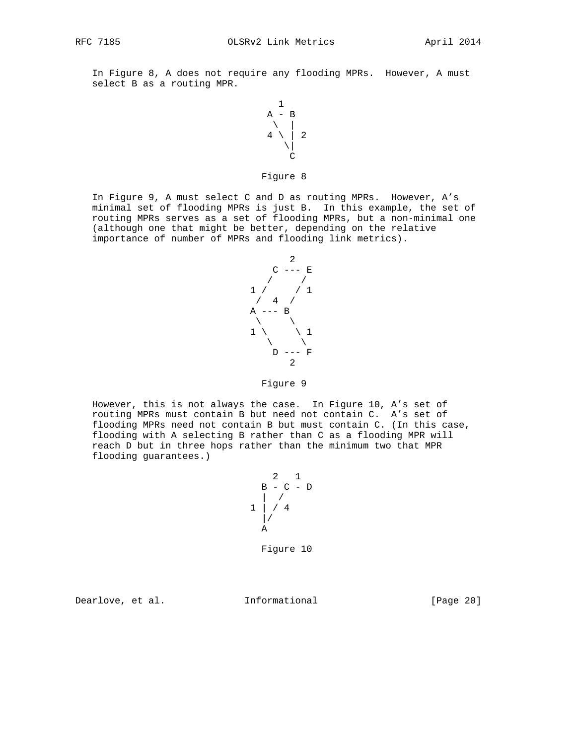In Figure 8, A does not require any flooding MPRs. However, A must select B as a routing MPR.



### Figure 8

 In Figure 9, A must select C and D as routing MPRs. However, A's minimal set of flooding MPRs is just B. In this example, the set of routing MPRs serves as a set of flooding MPRs, but a non-minimal one (although one that might be better, depending on the relative importance of number of MPRs and flooding link metrics).



### Figure 9

 However, this is not always the case. In Figure 10, A's set of routing MPRs must contain B but need not contain C. A's set of flooding MPRs need not contain B but must contain C. (In this case, flooding with A selecting B rather than C as a flooding MPR will reach D but in three hops rather than the minimum two that MPR flooding guarantees.)

$$
\begin{array}{c|cc}\n & 2 & 1 \\
 & B & -C & -D \\
 & 1 & / & 4 \\
 & 1 & / & 4 \\
 & A\n\end{array}
$$

Figure 10

Dearlove, et al. Informational [Page 20]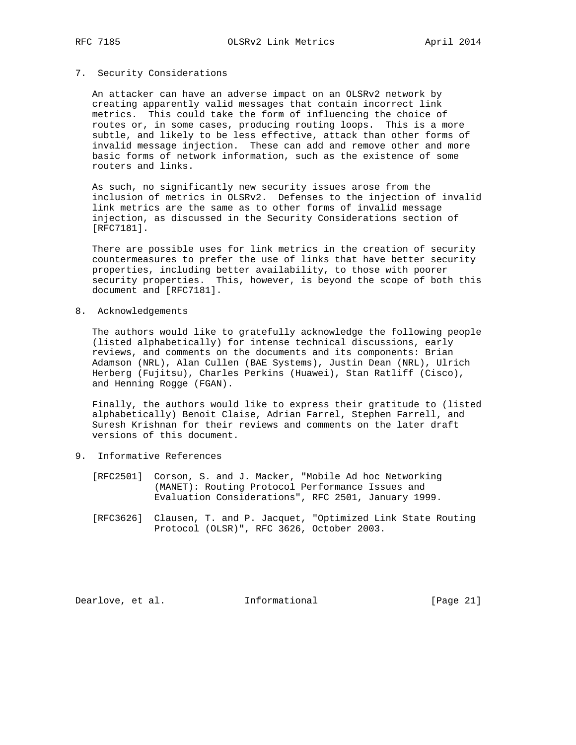#### 7. Security Considerations

 An attacker can have an adverse impact on an OLSRv2 network by creating apparently valid messages that contain incorrect link metrics. This could take the form of influencing the choice of routes or, in some cases, producing routing loops. This is a more subtle, and likely to be less effective, attack than other forms of invalid message injection. These can add and remove other and more basic forms of network information, such as the existence of some routers and links.

 As such, no significantly new security issues arose from the inclusion of metrics in OLSRv2. Defenses to the injection of invalid link metrics are the same as to other forms of invalid message injection, as discussed in the Security Considerations section of [RFC7181].

 There are possible uses for link metrics in the creation of security countermeasures to prefer the use of links that have better security properties, including better availability, to those with poorer security properties. This, however, is beyond the scope of both this document and [RFC7181].

8. Acknowledgements

 The authors would like to gratefully acknowledge the following people (listed alphabetically) for intense technical discussions, early reviews, and comments on the documents and its components: Brian Adamson (NRL), Alan Cullen (BAE Systems), Justin Dean (NRL), Ulrich Herberg (Fujitsu), Charles Perkins (Huawei), Stan Ratliff (Cisco), and Henning Rogge (FGAN).

 Finally, the authors would like to express their gratitude to (listed alphabetically) Benoit Claise, Adrian Farrel, Stephen Farrell, and Suresh Krishnan for their reviews and comments on the later draft versions of this document.

- 9. Informative References
	- [RFC2501] Corson, S. and J. Macker, "Mobile Ad hoc Networking (MANET): Routing Protocol Performance Issues and Evaluation Considerations", RFC 2501, January 1999.
	- [RFC3626] Clausen, T. and P. Jacquet, "Optimized Link State Routing Protocol (OLSR)", RFC 3626, October 2003.

Dearlove, et al. 1nformational [Page 21]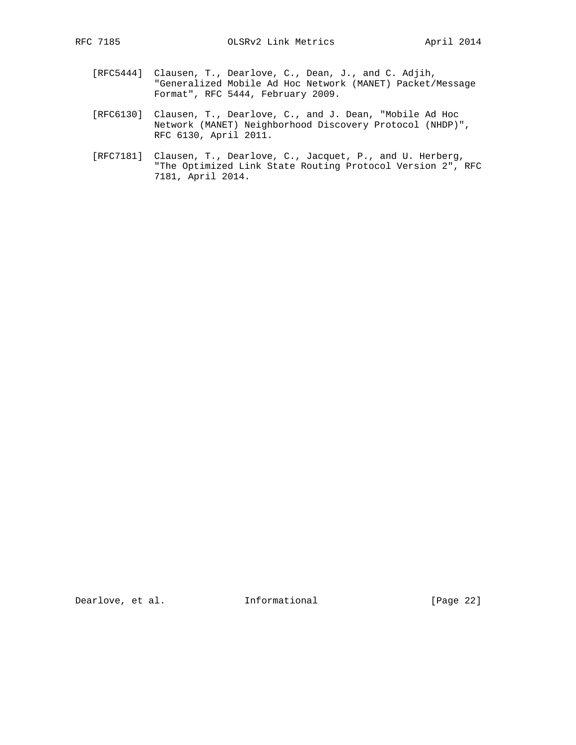- - [RFC5444] Clausen, T., Dearlove, C., Dean, J., and C. Adjih, "Generalized Mobile Ad Hoc Network (MANET) Packet/Message Format", RFC 5444, February 2009.
	- [RFC6130] Clausen, T., Dearlove, C., and J. Dean, "Mobile Ad Hoc Network (MANET) Neighborhood Discovery Protocol (NHDP)", RFC 6130, April 2011.
	- [RFC7181] Clausen, T., Dearlove, C., Jacquet, P., and U. Herberg, "The Optimized Link State Routing Protocol Version 2", RFC 7181, April 2014.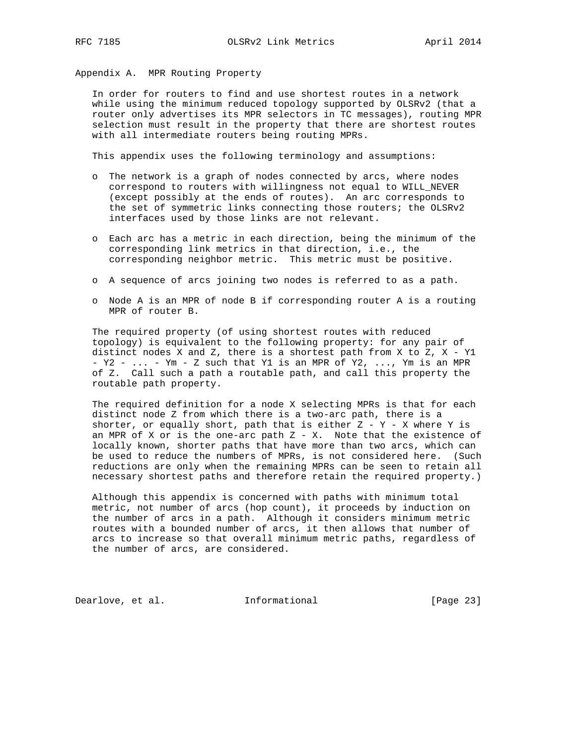Appendix A. MPR Routing Property

 In order for routers to find and use shortest routes in a network while using the minimum reduced topology supported by OLSRv2 (that a router only advertises its MPR selectors in TC messages), routing MPR selection must result in the property that there are shortest routes with all intermediate routers being routing MPRs.

This appendix uses the following terminology and assumptions:

- o The network is a graph of nodes connected by arcs, where nodes correspond to routers with willingness not equal to WILL\_NEVER (except possibly at the ends of routes). An arc corresponds to the set of symmetric links connecting those routers; the OLSRv2 interfaces used by those links are not relevant.
- o Each arc has a metric in each direction, being the minimum of the corresponding link metrics in that direction, i.e., the corresponding neighbor metric. This metric must be positive.
- o A sequence of arcs joining two nodes is referred to as a path.
- o Node A is an MPR of node B if corresponding router A is a routing MPR of router B.

 The required property (of using shortest routes with reduced topology) is equivalent to the following property: for any pair of distinct nodes X and Z, there is a shortest path from X to Z,  $X - Y1$  - Y2 - ... - Ym - Z such that Y1 is an MPR of Y2, ..., Ym is an MPR of Z. Call such a path a routable path, and call this property the routable path property.

 The required definition for a node X selecting MPRs is that for each distinct node Z from which there is a two-arc path, there is a shorter, or equally short, path that is either  $Z - Y - X$  where Y is an MPR of X or is the one-arc path  $Z - X$ . Note that the existence of locally known, shorter paths that have more than two arcs, which can be used to reduce the numbers of MPRs, is not considered here. (Such reductions are only when the remaining MPRs can be seen to retain all necessary shortest paths and therefore retain the required property.)

 Although this appendix is concerned with paths with minimum total metric, not number of arcs (hop count), it proceeds by induction on the number of arcs in a path. Although it considers minimum metric routes with a bounded number of arcs, it then allows that number of arcs to increase so that overall minimum metric paths, regardless of the number of arcs, are considered.

Dearlove, et al. 1nformational [Page 23]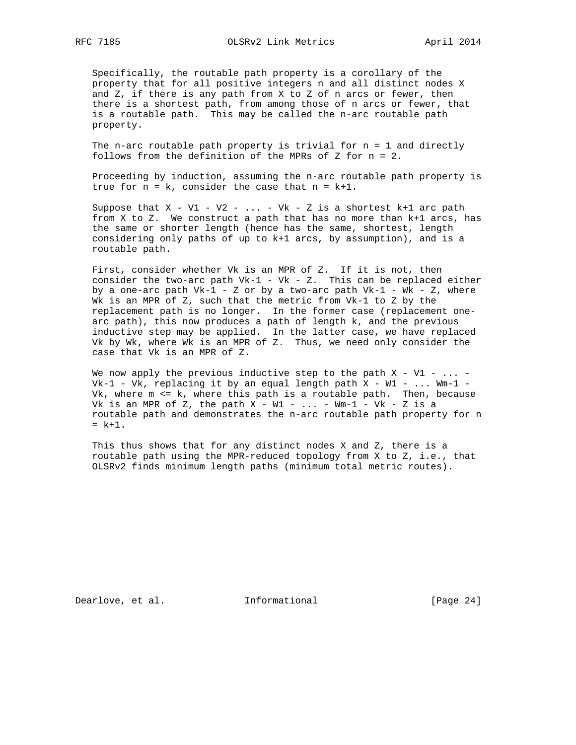Specifically, the routable path property is a corollary of the property that for all positive integers n and all distinct nodes X and Z, if there is any path from X to Z of n arcs or fewer, then there is a shortest path, from among those of n arcs or fewer, that is a routable path. This may be called the n-arc routable path property.

 The n-arc routable path property is trivial for n = 1 and directly follows from the definition of the MPRs of Z for n = 2.

 Proceeding by induction, assuming the n-arc routable path property is true for  $n = k$ , consider the case that  $n = k+1$ .

Suppose that  $X - VI - V2 - ... - Vk - Z$  is a shortest k+1 arc path from X to Z. We construct a path that has no more than k+1 arcs, has the same or shorter length (hence has the same, shortest, length considering only paths of up to k+1 arcs, by assumption), and is a routable path.

 First, consider whether Vk is an MPR of Z. If it is not, then consider the two-arc path  $Vk-1$  -  $Vk$  - Z. This can be replaced either by a one-arc path  $Vk-1$  - Z or by a two-arc path  $Vk-1$  - Wk - Z, where Wk is an MPR of Z, such that the metric from Vk-1 to Z by the replacement path is no longer. In the former case (replacement one arc path), this now produces a path of length k, and the previous inductive step may be applied. In the latter case, we have replaced Vk by Wk, where Wk is an MPR of Z. Thus, we need only consider the case that Vk is an MPR of Z.

We now apply the previous inductive step to the path  $X - VI - \ldots$  - $Vk-1$  - Vk, replacing it by an equal length path X - W1 - ... Wm-1 - Vk, where m <= k, where this path is a routable path. Then, because Vk is an MPR of Z, the path  $X - W1 - ... - Wm-1 - Vk - Z$  is a routable path and demonstrates the n-arc routable path property for n  $= k+1$ .

 This thus shows that for any distinct nodes X and Z, there is a routable path using the MPR-reduced topology from X to Z, i.e., that OLSRv2 finds minimum length paths (minimum total metric routes).

Dearlove, et al. 1nformational 1999 [Page 24]